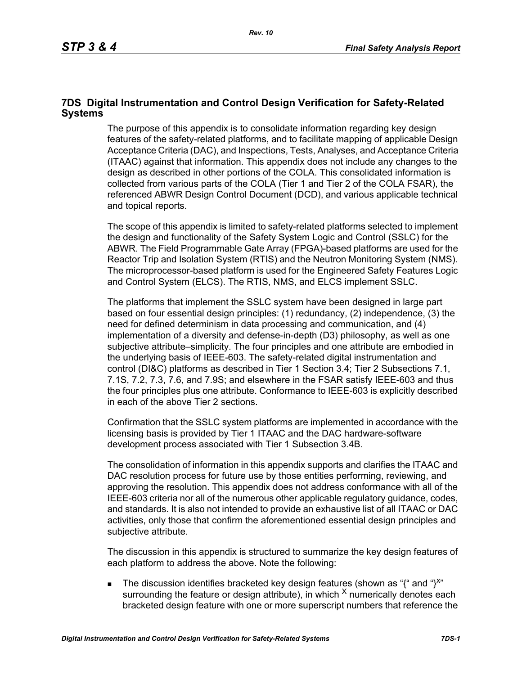### **7DS Digital Instrumentation and Control Design Verification for Safety-Related Systems**

The purpose of this appendix is to consolidate information regarding key design features of the safety-related platforms, and to facilitate mapping of applicable Design Acceptance Criteria (DAC), and Inspections, Tests, Analyses, and Acceptance Criteria (ITAAC) against that information. This appendix does not include any changes to the design as described in other portions of the COLA. This consolidated information is collected from various parts of the COLA (Tier 1 and Tier 2 of the COLA FSAR), the referenced ABWR Design Control Document (DCD), and various applicable technical and topical reports.

The scope of this appendix is limited to safety-related platforms selected to implement the design and functionality of the Safety System Logic and Control (SSLC) for the ABWR. The Field Programmable Gate Array (FPGA)-based platforms are used for the Reactor Trip and Isolation System (RTIS) and the Neutron Monitoring System (NMS). The microprocessor-based platform is used for the Engineered Safety Features Logic and Control System (ELCS). The RTIS, NMS, and ELCS implement SSLC.

The platforms that implement the SSLC system have been designed in large part based on four essential design principles: (1) redundancy, (2) independence, (3) the need for defined determinism in data processing and communication, and (4) implementation of a diversity and defense-in-depth (D3) philosophy, as well as one subjective attribute–simplicity. The four principles and one attribute are embodied in the underlying basis of IEEE-603. The safety-related digital instrumentation and control (DI&C) platforms as described in Tier 1 Section 3.4; Tier 2 Subsections 7.1, 7.1S, 7.2, 7.3, 7.6, and 7.9S; and elsewhere in the FSAR satisfy IEEE-603 and thus the four principles plus one attribute. Conformance to IEEE-603 is explicitly described in each of the above Tier 2 sections.

Confirmation that the SSLC system platforms are implemented in accordance with the licensing basis is provided by Tier 1 ITAAC and the DAC hardware-software development process associated with Tier 1 Subsection 3.4B.

The consolidation of information in this appendix supports and clarifies the ITAAC and DAC resolution process for future use by those entities performing, reviewing, and approving the resolution. This appendix does not address conformance with all of the IEEE-603 criteria nor all of the numerous other applicable regulatory guidance, codes, and standards. It is also not intended to provide an exhaustive list of all ITAAC or DAC activities, only those that confirm the aforementioned essential design principles and subjective attribute.

The discussion in this appendix is structured to summarize the key design features of each platform to address the above. Note the following:

The discussion identifies bracketed key design features (shown as "{" and "}<sup>x"</sup> surrounding the feature or design attribute), in which  $^{\chi}$  numerically denotes each bracketed design feature with one or more superscript numbers that reference the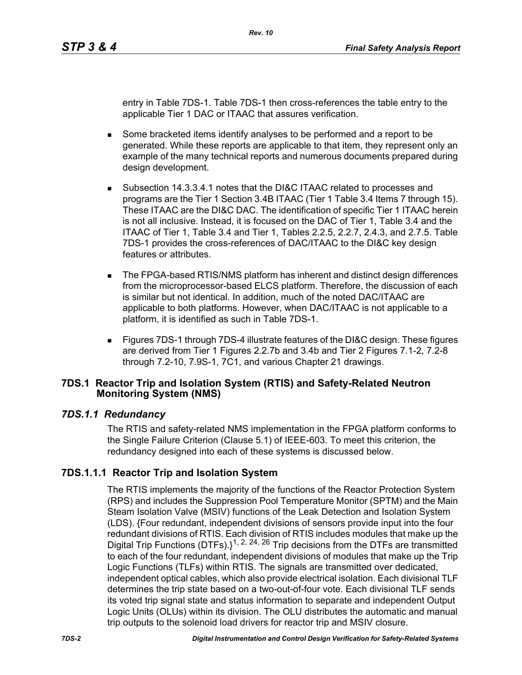entry in Table 7DS-1. Table 7DS-1 then cross-references the table entry to the applicable Tier 1 DAC or ITAAC that assures verification.

- Some bracketed items identify analyses to be performed and a report to be generated. While these reports are applicable to that item, they represent only an example of the many technical reports and numerous documents prepared during design development.
- Subsection 14.3.3.4.1 notes that the DI&C ITAAC related to processes and programs are the Tier 1 Section 3.4B ITAAC (Tier 1 Table 3.4 Items 7 through 15). These ITAAC are the DI&C DAC. The identification of specific Tier 1 ITAAC herein is not all inclusive. Instead, it is focused on the DAC of Tier 1, Table 3.4 and the ITAAC of Tier 1, Table 3.4 and Tier 1, Tables 2.2.5, 2.2.7, 2.4.3, and 2.7.5. Table 7DS-1 provides the cross-references of DAC/ITAAC to the DI&C key design features or attributes.
- The FPGA-based RTIS/NMS platform has inherent and distinct design differences from the microprocessor-based ELCS platform. Therefore, the discussion of each is similar but not identical. In addition, much of the noted DAC/ITAAC are applicable to both platforms. However, when DAC/ITAAC is not applicable to a platform, it is identified as such in Table 7DS-1.
- Figures 7DS-1 through 7DS-4 illustrate features of the DI&C design. These figures are derived from Tier 1 Figures 2.2.7b and 3.4b and Tier 2 Figures 7.1-2, 7.2-8 through 7.2-10, 7.9S-1, 7C1, and various Chapter 21 drawings.

### **7DS.1 Reactor Trip and Isolation System (RTIS) and Safety-Related Neutron Monitoring System (NMS)**

# *7DS.1.1 Redundancy*

The RTIS and safety-related NMS implementation in the FPGA platform conforms to the Single Failure Criterion (Clause 5.1) of IEEE-603. To meet this criterion, the redundancy designed into each of these systems is discussed below.

# **7DS.1.1.1 Reactor Trip and Isolation System**

The RTIS implements the majority of the functions of the Reactor Protection System (RPS) and includes the Suppression Pool Temperature Monitor (SPTM) and the Main Steam Isolation Valve (MSIV) functions of the Leak Detection and Isolation System (LDS). {Four redundant, independent divisions of sensors provide input into the four redundant divisions of RTIS. Each division of RTIS includes modules that make up the Digital Trip Functions (DTFs).}<sup>1, 2, 24, 26</sup> Trip decisions from the DTFs are transmitted to each of the four redundant, independent divisions of modules that make up the Trip Logic Functions (TLFs) within RTIS. The signals are transmitted over dedicated, independent optical cables, which also provide electrical isolation. Each divisional TLF determines the trip state based on a two-out-of-four vote. Each divisional TLF sends its voted trip signal state and status information to separate and independent Output Logic Units (OLUs) within its division. The OLU distributes the automatic and manual trip outputs to the solenoid load drivers for reactor trip and MSIV closure.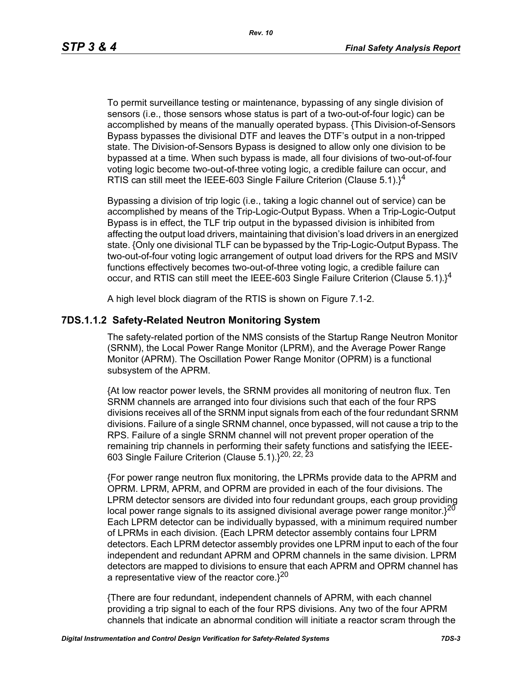To permit surveillance testing or maintenance, bypassing of any single division of sensors (i.e., those sensors whose status is part of a two-out-of-four logic) can be accomplished by means of the manually operated bypass. {This Division-of-Sensors Bypass bypasses the divisional DTF and leaves the DTF's output in a non-tripped state. The Division-of-Sensors Bypass is designed to allow only one division to be bypassed at a time. When such bypass is made, all four divisions of two-out-of-four voting logic become two-out-of-three voting logic, a credible failure can occur, and RTIS can still meet the IEEE-603 Single Failure Criterion (Clause  $5.1$ ).<sup>14</sup>

Bypassing a division of trip logic (i.e., taking a logic channel out of service) can be accomplished by means of the Trip-Logic-Output Bypass. When a Trip-Logic-Output Bypass is in effect, the TLF trip output in the bypassed division is inhibited from affecting the output load drivers, maintaining that division's load drivers in an energized state. {Only one divisional TLF can be bypassed by the Trip-Logic-Output Bypass. The two-out-of-four voting logic arrangement of output load drivers for the RPS and MSIV functions effectively becomes two-out-of-three voting logic, a credible failure can occur, and RTIS can still meet the IEEE-603 Single Failure Criterion (Clause 5.1). $1^4$ 

A high level block diagram of the RTIS is shown on Figure 7.1-2.

#### **7DS.1.1.2 Safety-Related Neutron Monitoring System**

The safety-related portion of the NMS consists of the Startup Range Neutron Monitor (SRNM), the Local Power Range Monitor (LPRM), and the Average Power Range Monitor (APRM). The Oscillation Power Range Monitor (OPRM) is a functional subsystem of the APRM.

{At low reactor power levels, the SRNM provides all monitoring of neutron flux. Ten SRNM channels are arranged into four divisions such that each of the four RPS divisions receives all of the SRNM input signals from each of the four redundant SRNM divisions. Failure of a single SRNM channel, once bypassed, will not cause a trip to the RPS. Failure of a single SRNM channel will not prevent proper operation of the remaining trip channels in performing their safety functions and satisfying the IEEE-603 Single Failure Criterion (Clause 5.1).}20, 22, 23

{For power range neutron flux monitoring, the LPRMs provide data to the APRM and OPRM. LPRM, APRM, and OPRM are provided in each of the four divisions. The LPRM detector sensors are divided into four redundant groups, each group providing local power range signals to its assigned divisional average power range monitor. $3^{20}$ Each LPRM detector can be individually bypassed, with a minimum required number of LPRMs in each division. {Each LPRM detector assembly contains four LPRM detectors. Each LPRM detector assembly provides one LPRM input to each of the four independent and redundant APRM and OPRM channels in the same division. LPRM detectors are mapped to divisions to ensure that each APRM and OPRM channel has a representative view of the reactor core. $3^{20}$ 

{There are four redundant, independent channels of APRM, with each channel providing a trip signal to each of the four RPS divisions. Any two of the four APRM channels that indicate an abnormal condition will initiate a reactor scram through the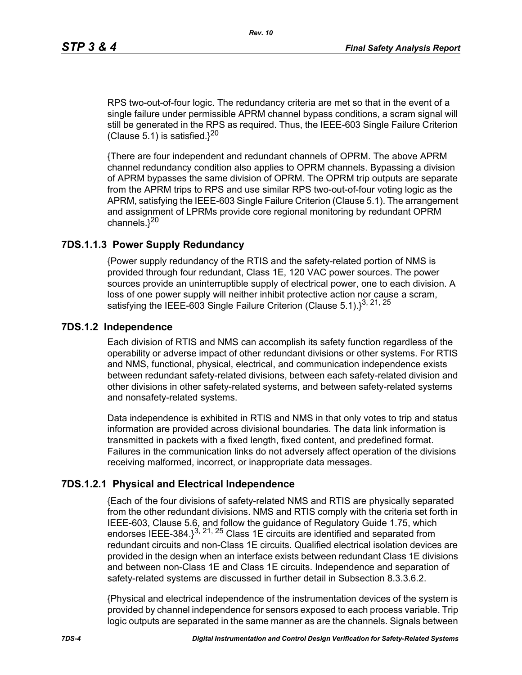RPS two-out-of-four logic. The redundancy criteria are met so that in the event of a single failure under permissible APRM channel bypass conditions, a scram signal will still be generated in the RPS as required. Thus, the IEEE-603 Single Failure Criterion (Clause 5.1) is satisfied. $3^{20}$ 

{There are four independent and redundant channels of OPRM. The above APRM channel redundancy condition also applies to OPRM channels. Bypassing a division of APRM bypasses the same division of OPRM. The OPRM trip outputs are separate from the APRM trips to RPS and use similar RPS two-out-of-four voting logic as the APRM, satisfying the IEEE-603 Single Failure Criterion (Clause 5.1). The arrangement and assignment of LPRMs provide core regional monitoring by redundant OPRM channels. $3^{20}$ 

### **7DS.1.1.3 Power Supply Redundancy**

{Power supply redundancy of the RTIS and the safety-related portion of NMS is provided through four redundant, Class 1E, 120 VAC power sources. The power sources provide an uninterruptible supply of electrical power, one to each division. A loss of one power supply will neither inhibit protective action nor cause a scram, satisfying the IEEE-603 Single Failure Criterion (Clause 5.1). $3^{3, 21, 25}$ 

#### **7DS.1.2 Independence**

Each division of RTIS and NMS can accomplish its safety function regardless of the operability or adverse impact of other redundant divisions or other systems. For RTIS and NMS, functional, physical, electrical, and communication independence exists between redundant safety-related divisions, between each safety-related division and other divisions in other safety-related systems, and between safety-related systems and nonsafety-related systems.

Data independence is exhibited in RTIS and NMS in that only votes to trip and status information are provided across divisional boundaries. The data link information is transmitted in packets with a fixed length, fixed content, and predefined format. Failures in the communication links do not adversely affect operation of the divisions receiving malformed, incorrect, or inappropriate data messages.

### **7DS.1.2.1 Physical and Electrical Independence**

{Each of the four divisions of safety-related NMS and RTIS are physically separated from the other redundant divisions. NMS and RTIS comply with the criteria set forth in IEEE-603, Clause 5.6, and follow the guidance of Regulatory Guide 1.75, which endorses IEEE-384. $3^{3, 21, 25}$  Class 1E circuits are identified and separated from redundant circuits and non-Class 1E circuits. Qualified electrical isolation devices are provided in the design when an interface exists between redundant Class 1E divisions and between non-Class 1E and Class 1E circuits. Independence and separation of safety-related systems are discussed in further detail in Subsection 8.3.3.6.2.

{Physical and electrical independence of the instrumentation devices of the system is provided by channel independence for sensors exposed to each process variable. Trip logic outputs are separated in the same manner as are the channels. Signals between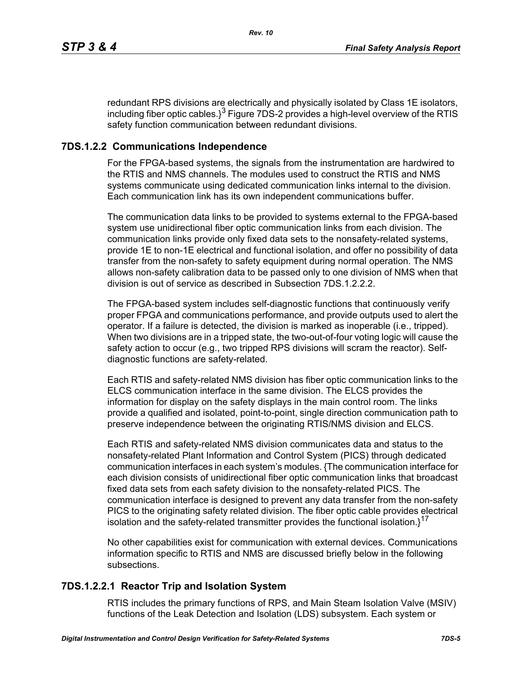redundant RPS divisions are electrically and physically isolated by Class 1E isolators, including fiber optic cables. $3^3$  Figure 7DS-2 provides a high-level overview of the RTIS safety function communication between redundant divisions.

# **7DS.1.2.2 Communications Independence**

For the FPGA-based systems, the signals from the instrumentation are hardwired to the RTIS and NMS channels. The modules used to construct the RTIS and NMS systems communicate using dedicated communication links internal to the division. Each communication link has its own independent communications buffer.

The communication data links to be provided to systems external to the FPGA-based system use unidirectional fiber optic communication links from each division. The communication links provide only fixed data sets to the nonsafety-related systems, provide 1E to non-1E electrical and functional isolation, and offer no possibility of data transfer from the non-safety to safety equipment during normal operation. The NMS allows non-safety calibration data to be passed only to one division of NMS when that division is out of service as described in Subsection 7DS 1.2.2.2.

The FPGA-based system includes self-diagnostic functions that continuously verify proper FPGA and communications performance, and provide outputs used to alert the operator. If a failure is detected, the division is marked as inoperable (i.e., tripped). When two divisions are in a tripped state, the two-out-of-four voting logic will cause the safety action to occur (e.g., two tripped RPS divisions will scram the reactor). Selfdiagnostic functions are safety-related.

Each RTIS and safety-related NMS division has fiber optic communication links to the ELCS communication interface in the same division. The ELCS provides the information for display on the safety displays in the main control room. The links provide a qualified and isolated, point-to-point, single direction communication path to preserve independence between the originating RTIS/NMS division and ELCS.

Each RTIS and safety-related NMS division communicates data and status to the nonsafety-related Plant Information and Control System (PICS) through dedicated communication interfaces in each system's modules. {The communication interface for each division consists of unidirectional fiber optic communication links that broadcast fixed data sets from each safety division to the nonsafety-related PICS. The communication interface is designed to prevent any data transfer from the non-safety PICS to the originating safety related division. The fiber optic cable provides electrical isolation and the safety-related transmitter provides the functional isolation. $1^{17}$ 

No other capabilities exist for communication with external devices. Communications information specific to RTIS and NMS are discussed briefly below in the following subsections.

# **7DS.1.2.2.1 Reactor Trip and Isolation System**

RTIS includes the primary functions of RPS, and Main Steam Isolation Valve (MSIV) functions of the Leak Detection and Isolation (LDS) subsystem. Each system or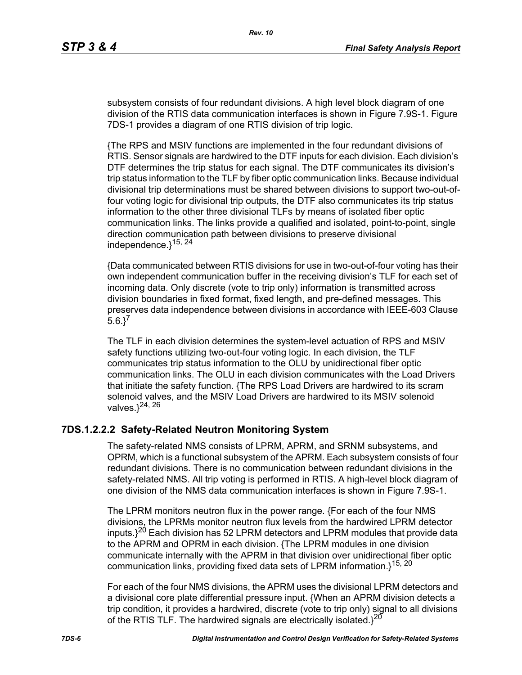subsystem consists of four redundant divisions. A high level block diagram of one division of the RTIS data communication interfaces is shown in Figure 7.9S-1. Figure 7DS-1 provides a diagram of one RTIS division of trip logic.

{The RPS and MSIV functions are implemented in the four redundant divisions of RTIS. Sensor signals are hardwired to the DTF inputs for each division. Each division's DTF determines the trip status for each signal. The DTF communicates its division's trip status information to the TLF by fiber optic communication links. Because individual divisional trip determinations must be shared between divisions to support two-out-offour voting logic for divisional trip outputs, the DTF also communicates its trip status information to the other three divisional TLFs by means of isolated fiber optic communication links. The links provide a qualified and isolated, point-to-point, single direction communication path between divisions to preserve divisional independence. $3^{15, 24}$ 

{Data communicated between RTIS divisions for use in two-out-of-four voting has their own independent communication buffer in the receiving division's TLF for each set of incoming data. Only discrete (vote to trip only) information is transmitted across division boundaries in fixed format, fixed length, and pre-defined messages. This preserves data independence between divisions in accordance with IEEE-603 Clause  $5.6.$ <sup>7</sup>

The TLF in each division determines the system-level actuation of RPS and MSIV safety functions utilizing two-out-four voting logic. In each division, the TLF communicates trip status information to the OLU by unidirectional fiber optic communication links. The OLU in each division communicates with the Load Drivers that initiate the safety function. {The RPS Load Drivers are hardwired to its scram solenoid valves, and the MSIV Load Drivers are hardwired to its MSIV solenoid valves. $3^{24, 26}$ 

### **7DS.1.2.2.2 Safety-Related Neutron Monitoring System**

The safety-related NMS consists of LPRM, APRM, and SRNM subsystems, and OPRM, which is a functional subsystem of the APRM. Each subsystem consists of four redundant divisions. There is no communication between redundant divisions in the safety-related NMS. All trip voting is performed in RTIS. A high-level block diagram of one division of the NMS data communication interfaces is shown in Figure 7.9S-1.

The LPRM monitors neutron flux in the power range. {For each of the four NMS divisions, the LPRMs monitor neutron flux levels from the hardwired LPRM detector inputs. $3^{20}$  Each division has 52 LPRM detectors and LPRM modules that provide data to the APRM and OPRM in each division. {The LPRM modules in one division communicate internally with the APRM in that division over unidirectional fiber optic communication links, providing fixed data sets of LPRM information.}<sup>15, 20</sup>

For each of the four NMS divisions, the APRM uses the divisional LPRM detectors and a divisional core plate differential pressure input. {When an APRM division detects a trip condition, it provides a hardwired, discrete (vote to trip only) signal to all divisions of the RTIS TLF. The hardwired signals are electrically isolated. $3^{20}$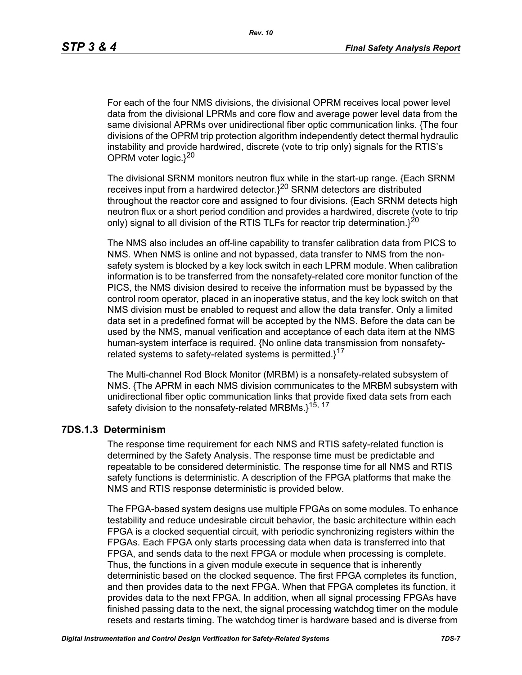For each of the four NMS divisions, the divisional OPRM receives local power level data from the divisional LPRMs and core flow and average power level data from the same divisional APRMs over unidirectional fiber optic communication links. {The four divisions of the OPRM trip protection algorithm independently detect thermal hydraulic instability and provide hardwired, discrete (vote to trip only) signals for the RTIS's OPRM voter logic. $3^{20}$ 

The divisional SRNM monitors neutron flux while in the start-up range. {Each SRNM receives input from a hardwired detector.}20 SRNM detectors are distributed throughout the reactor core and assigned to four divisions. {Each SRNM detects high neutron flux or a short period condition and provides a hardwired, discrete (vote to trip only) signal to all division of the RTIS TLFs for reactor trip determination. $3^{20}$ 

The NMS also includes an off-line capability to transfer calibration data from PICS to NMS. When NMS is online and not bypassed, data transfer to NMS from the nonsafety system is blocked by a key lock switch in each LPRM module. When calibration information is to be transferred from the nonsafety-related core monitor function of the PICS, the NMS division desired to receive the information must be bypassed by the control room operator, placed in an inoperative status, and the key lock switch on that NMS division must be enabled to request and allow the data transfer. Only a limited data set in a predefined format will be accepted by the NMS. Before the data can be used by the NMS, manual verification and acceptance of each data item at the NMS human-system interface is required. {No online data transmission from nonsafetyrelated systems to safety-related systems is permitted. $1^{17}$ 

The Multi-channel Rod Block Monitor (MRBM) is a nonsafety-related subsystem of NMS. {The APRM in each NMS division communicates to the MRBM subsystem with unidirectional fiber optic communication links that provide fixed data sets from each safety division to the nonsafety-related MRBMs.}<sup>15, 17</sup>

### **7DS.1.3 Determinism**

The response time requirement for each NMS and RTIS safety-related function is determined by the Safety Analysis. The response time must be predictable and repeatable to be considered deterministic. The response time for all NMS and RTIS safety functions is deterministic. A description of the FPGA platforms that make the NMS and RTIS response deterministic is provided below.

The FPGA-based system designs use multiple FPGAs on some modules. To enhance testability and reduce undesirable circuit behavior, the basic architecture within each FPGA is a clocked sequential circuit, with periodic synchronizing registers within the FPGAs. Each FPGA only starts processing data when data is transferred into that FPGA, and sends data to the next FPGA or module when processing is complete. Thus, the functions in a given module execute in sequence that is inherently deterministic based on the clocked sequence. The first FPGA completes its function, and then provides data to the next FPGA. When that FPGA completes its function, it provides data to the next FPGA. In addition, when all signal processing FPGAs have finished passing data to the next, the signal processing watchdog timer on the module resets and restarts timing. The watchdog timer is hardware based and is diverse from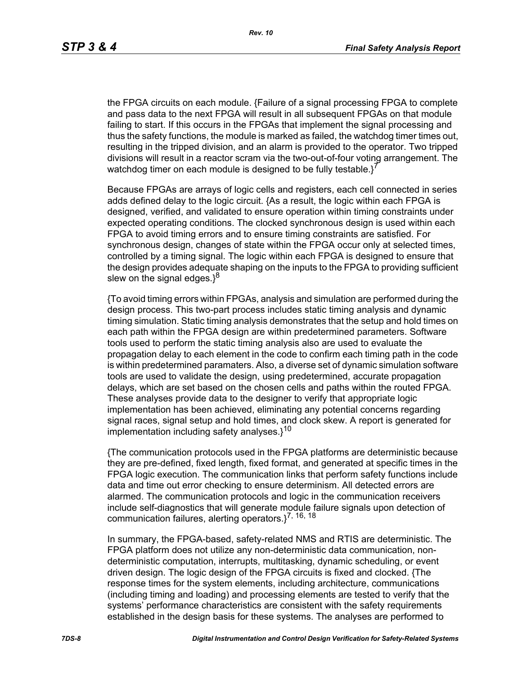the FPGA circuits on each module. {Failure of a signal processing FPGA to complete and pass data to the next FPGA will result in all subsequent FPGAs on that module failing to start. If this occurs in the FPGAs that implement the signal processing and thus the safety functions, the module is marked as failed, the watchdog timer times out, resulting in the tripped division, and an alarm is provided to the operator. Two tripped divisions will result in a reactor scram via the two-out-of-four voting arrangement. The watchdog timer on each module is designed to be fully testable. $i^7$ 

Because FPGAs are arrays of logic cells and registers, each cell connected in series adds defined delay to the logic circuit. {As a result, the logic within each FPGA is designed, verified, and validated to ensure operation within timing constraints under expected operating conditions. The clocked synchronous design is used within each FPGA to avoid timing errors and to ensure timing constraints are satisfied. For synchronous design, changes of state within the FPGA occur only at selected times, controlled by a timing signal. The logic within each FPGA is designed to ensure that the design provides adequate shaping on the inputs to the FPGA to providing sufficient slew on the signal edges. $3^8$ 

{To avoid timing errors within FPGAs, analysis and simulation are performed during the design process. This two-part process includes static timing analysis and dynamic timing simulation. Static timing analysis demonstrates that the setup and hold times on each path within the FPGA design are within predetermined parameters. Software tools used to perform the static timing analysis also are used to evaluate the propagation delay to each element in the code to confirm each timing path in the code is within predetermined paramaters. Also, a diverse set of dynamic simulation software tools are used to validate the design, using predetermined, accurate propagation delays, which are set based on the chosen cells and paths within the routed FPGA. These analyses provide data to the designer to verify that appropriate logic implementation has been achieved, eliminating any potential concerns regarding signal races, signal setup and hold times, and clock skew. A report is generated for implementation including safety analyses. $1^{10}$ 

{The communication protocols used in the FPGA platforms are deterministic because they are pre-defined, fixed length, fixed format, and generated at specific times in the FPGA logic execution. The communication links that perform safety functions include data and time out error checking to ensure determinism. All detected errors are alarmed. The communication protocols and logic in the communication receivers include self-diagnostics that will generate module failure signals upon detection of communication failures, alerting operators. $3^{7, 16, 18}$ 

In summary, the FPGA-based, safety-related NMS and RTIS are deterministic. The FPGA platform does not utilize any non-deterministic data communication, nondeterministic computation, interrupts, multitasking, dynamic scheduling, or event driven design. The logic design of the FPGA circuits is fixed and clocked. {The response times for the system elements, including architecture, communications (including timing and loading) and processing elements are tested to verify that the systems' performance characteristics are consistent with the safety requirements established in the design basis for these systems. The analyses are performed to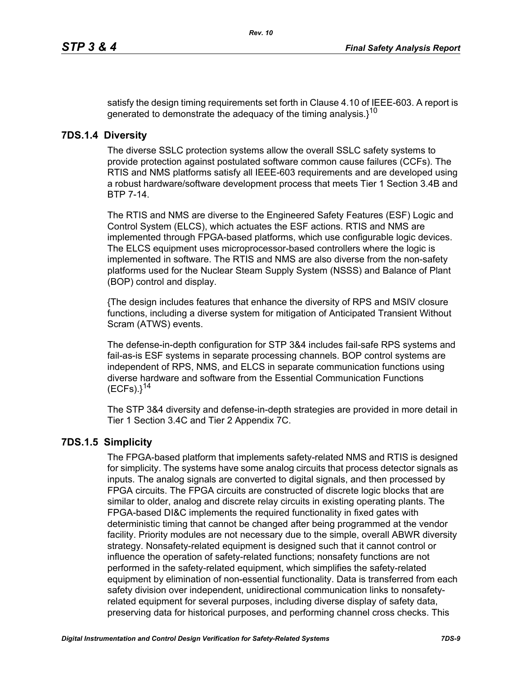satisfy the design timing requirements set forth in Clause 4.10 of IEEE-603. A report is generated to demonstrate the adequacy of the timing analysis. $3^{10}$ 

### **7DS.1.4 Diversity**

The diverse SSLC protection systems allow the overall SSLC safety systems to provide protection against postulated software common cause failures (CCFs). The RTIS and NMS platforms satisfy all IEEE-603 requirements and are developed using a robust hardware/software development process that meets Tier 1 Section 3.4B and BTP 7-14.

The RTIS and NMS are diverse to the Engineered Safety Features (ESF) Logic and Control System (ELCS), which actuates the ESF actions. RTIS and NMS are implemented through FPGA-based platforms, which use configurable logic devices. The ELCS equipment uses microprocessor-based controllers where the logic is implemented in software. The RTIS and NMS are also diverse from the non-safety platforms used for the Nuclear Steam Supply System (NSSS) and Balance of Plant (BOP) control and display.

{The design includes features that enhance the diversity of RPS and MSIV closure functions, including a diverse system for mitigation of Anticipated Transient Without Scram (ATWS) events.

The defense-in-depth configuration for STP 3&4 includes fail-safe RPS systems and fail-as-is ESF systems in separate processing channels. BOP control systems are independent of RPS, NMS, and ELCS in separate communication functions using diverse hardware and software from the Essential Communication Functions  $(ECFs).$ <sup>14</sup>

The STP 3&4 diversity and defense-in-depth strategies are provided in more detail in Tier 1 Section 3.4C and Tier 2 Appendix 7C.

# **7DS.1.5 Simplicity**

The FPGA-based platform that implements safety-related NMS and RTIS is designed for simplicity. The systems have some analog circuits that process detector signals as inputs. The analog signals are converted to digital signals, and then processed by FPGA circuits. The FPGA circuits are constructed of discrete logic blocks that are similar to older, analog and discrete relay circuits in existing operating plants. The FPGA-based DI&C implements the required functionality in fixed gates with deterministic timing that cannot be changed after being programmed at the vendor facility. Priority modules are not necessary due to the simple, overall ABWR diversity strategy. Nonsafety-related equipment is designed such that it cannot control or influence the operation of safety-related functions; nonsafety functions are not performed in the safety-related equipment, which simplifies the safety-related equipment by elimination of non-essential functionality. Data is transferred from each safety division over independent, unidirectional communication links to nonsafetyrelated equipment for several purposes, including diverse display of safety data, preserving data for historical purposes, and performing channel cross checks. This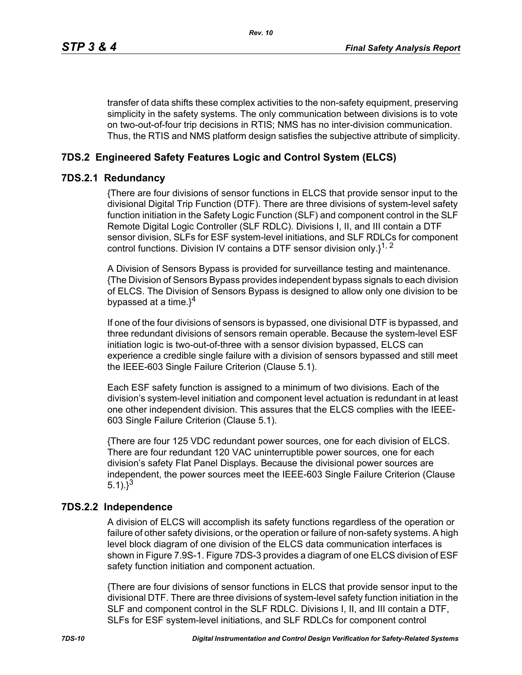transfer of data shifts these complex activities to the non-safety equipment, preserving simplicity in the safety systems. The only communication between divisions is to vote on two-out-of-four trip decisions in RTIS; NMS has no inter-division communication. Thus, the RTIS and NMS platform design satisfies the subjective attribute of simplicity.

# **7DS.2 Engineered Safety Features Logic and Control System (ELCS)**

### **7DS.2.1 Redundancy**

{There are four divisions of sensor functions in ELCS that provide sensor input to the divisional Digital Trip Function (DTF). There are three divisions of system-level safety function initiation in the Safety Logic Function (SLF) and component control in the SLF Remote Digital Logic Controller (SLF RDLC). Divisions I, II, and III contain a DTF sensor division, SLFs for ESF system-level initiations, and SLF RDLCs for component control functions. Division IV contains a DTF sensor division only. $1^{1, 2}$ 

A Division of Sensors Bypass is provided for surveillance testing and maintenance. {The Division of Sensors Bypass provides independent bypass signals to each division of ELCS. The Division of Sensors Bypass is designed to allow only one division to be bypassed at a time. $3^4$ 

If one of the four divisions of sensors is bypassed, one divisional DTF is bypassed, and three redundant divisions of sensors remain operable. Because the system-level ESF initiation logic is two-out-of-three with a sensor division bypassed, ELCS can experience a credible single failure with a division of sensors bypassed and still meet the IEEE-603 Single Failure Criterion (Clause 5.1).

Each ESF safety function is assigned to a minimum of two divisions. Each of the division's system-level initiation and component level actuation is redundant in at least one other independent division. This assures that the ELCS complies with the IEEE-603 Single Failure Criterion (Clause 5.1).

{There are four 125 VDC redundant power sources, one for each division of ELCS. There are four redundant 120 VAC uninterruptible power sources, one for each division's safety Flat Panel Displays. Because the divisional power sources are independent, the power sources meet the IEEE-603 Single Failure Criterion (Clause 5.1). $3^{3}$ 

### **7DS.2.2 Independence**

A division of ELCS will accomplish its safety functions regardless of the operation or failure of other safety divisions, or the operation or failure of non-safety systems. A high level block diagram of one division of the ELCS data communication interfaces is shown in Figure 7.9S-1. Figure 7DS-3 provides a diagram of one ELCS division of ESF safety function initiation and component actuation.

{There are four divisions of sensor functions in ELCS that provide sensor input to the divisional DTF. There are three divisions of system-level safety function initiation in the SLF and component control in the SLF RDLC. Divisions I, II, and III contain a DTF, SLFs for ESF system-level initiations, and SLF RDLCs for component control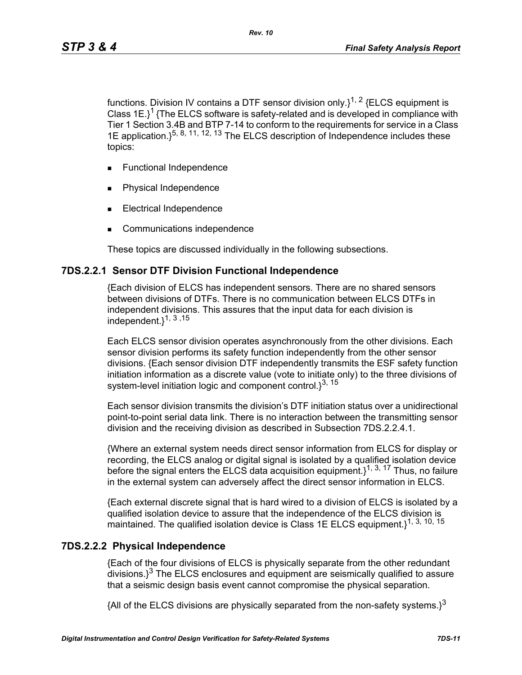functions. Division IV contains a DTF sensor division only. $1^{1, 2}$  {ELCS equipment is Class  $1E$ <sup>1</sup> {The ELCS software is safety-related and is developed in compliance with Tier 1 Section 3.4B and BTP 7-14 to conform to the requirements for service in a Class 1E application.  $\xi^{5, 8, 11, 12, 13}$  The ELCS description of Independence includes these topics:

- **Functional Independence**
- Physical Independence
- Electrical Independence
- Communications independence

These topics are discussed individually in the following subsections.

#### **7DS.2.2.1 Sensor DTF Division Functional Independence**

{Each division of ELCS has independent sensors. There are no shared sensors between divisions of DTFs. There is no communication between ELCS DTFs in independent divisions. This assures that the input data for each division is independent.}1, 3 ,15

Each ELCS sensor division operates asynchronously from the other divisions. Each sensor division performs its safety function independently from the other sensor divisions. {Each sensor division DTF independently transmits the ESF safety function initiation information as a discrete value (vote to initiate only) to the three divisions of system-level initiation logic and component control. $3^{3, 15}$ 

Each sensor division transmits the division's DTF initiation status over a unidirectional point-to-point serial data link. There is no interaction between the transmitting sensor division and the receiving division as described in Subsection 7DS.2.2.4.1.

{Where an external system needs direct sensor information from ELCS for display or recording, the ELCS analog or digital signal is isolated by a qualified isolation device before the signal enters the ELCS data acquisition equipment.  $1^{1, 3, 17}$  Thus, no failure in the external system can adversely affect the direct sensor information in ELCS.

{Each external discrete signal that is hard wired to a division of ELCS is isolated by a qualified isolation device to assure that the independence of the ELCS division is maintained. The qualified isolation device is Class 1E ELCS equipment.<sup>1, 3, 10, 15</sup>

#### **7DS.2.2.2 Physical Independence**

{Each of the four divisions of ELCS is physically separate from the other redundant  $\frac{1}{3}$  The ELCS enclosures and equipment are seismically qualified to assure that a seismic design basis event cannot compromise the physical separation.

{All of the ELCS divisions are physically separated from the non-safety systems.}<sup>3</sup>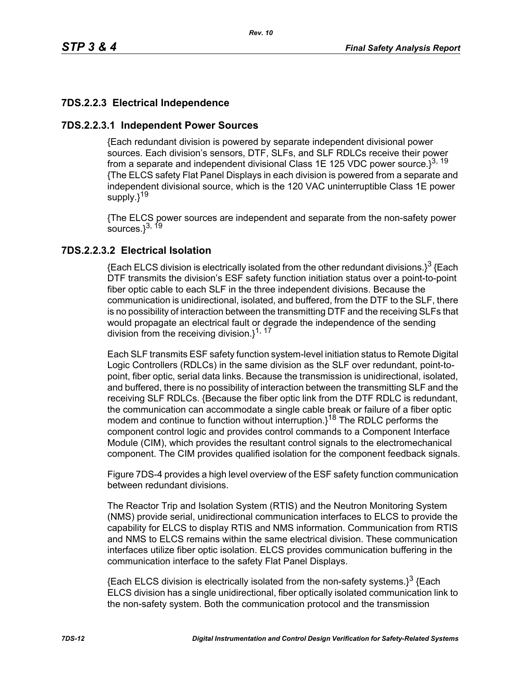# **7DS.2.2.3 Electrical Independence**

### **7DS.2.2.3.1 Independent Power Sources**

{Each redundant division is powered by separate independent divisional power sources. Each division's sensors, DTF, SLFs, and SLF RDLCs receive their power from a separate and independent divisional Class 1E 125 VDC power source. $3^{3, 19}$ {The ELCS safety Flat Panel Displays in each division is powered from a separate and independent divisional source, which is the 120 VAC uninterruptible Class 1E power supply.}<sup>19</sup>

{The ELCS power sources are independent and separate from the non-safety power sources. $3^{3, 19}$ 

### **7DS.2.2.3.2 Electrical Isolation**

{Each ELCS division is electrically isolated from the other redundant divisions.}<sup>3</sup> {Each DTF transmits the division's ESF safety function initiation status over a point-to-point fiber optic cable to each SLF in the three independent divisions. Because the communication is unidirectional, isolated, and buffered, from the DTF to the SLF, there is no possibility of interaction between the transmitting DTF and the receiving SLFs that would propagate an electrical fault or degrade the independence of the sending division from the receiving division.}<sup>1, 17</sup>

Each SLF transmits ESF safety function system-level initiation status to Remote Digital Logic Controllers (RDLCs) in the same division as the SLF over redundant, point-topoint, fiber optic, serial data links. Because the transmission is unidirectional, isolated, and buffered, there is no possibility of interaction between the transmitting SLF and the receiving SLF RDLCs. {Because the fiber optic link from the DTF RDLC is redundant, the communication can accommodate a single cable break or failure of a fiber optic modem and continue to function without interruption. $3^{18}$  The RDLC performs the component control logic and provides control commands to a Component Interface Module (CIM), which provides the resultant control signals to the electromechanical component. The CIM provides qualified isolation for the component feedback signals.

Figure 7DS-4 provides a high level overview of the ESF safety function communication between redundant divisions.

The Reactor Trip and Isolation System (RTIS) and the Neutron Monitoring System (NMS) provide serial, unidirectional communication interfaces to ELCS to provide the capability for ELCS to display RTIS and NMS information. Communication from RTIS and NMS to ELCS remains within the same electrical division. These communication interfaces utilize fiber optic isolation. ELCS provides communication buffering in the communication interface to the safety Flat Panel Displays.

 ${Each ELCS}$  division is electrically isolated from the non-safety systems. $3^3$  {Each ELCS division has a single unidirectional, fiber optically isolated communication link to the non-safety system. Both the communication protocol and the transmission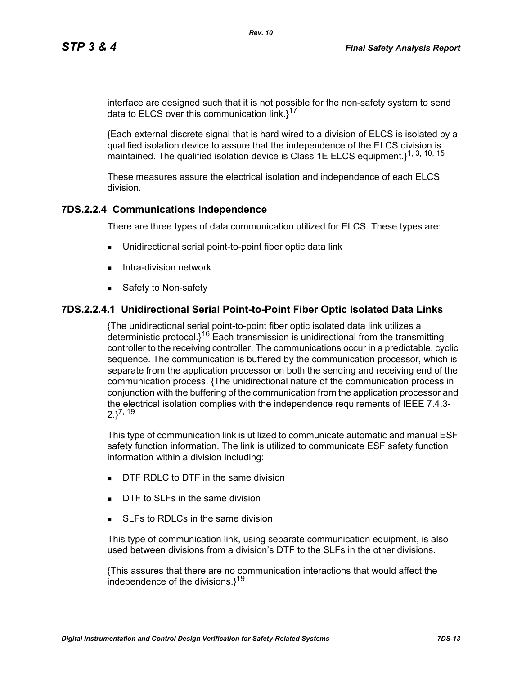interface are designed such that it is not possible for the non-safety system to send data to ELCS over this communication link. $1^{17}$ 

*Rev. 10*

{Each external discrete signal that is hard wired to a division of ELCS is isolated by a qualified isolation device to assure that the independence of the ELCS division is maintained. The qualified isolation device is Class 1E ELCS equipment.}<sup>1, 3, 10, 15</sup>

These measures assure the electrical isolation and independence of each ELCS division.

### **7DS.2.2.4 Communications Independence**

There are three types of data communication utilized for ELCS. These types are:

- Unidirectional serial point-to-point fiber optic data link
- $\blacksquare$  Intra-division network
- Safety to Non-safety

#### **7DS.2.2.4.1 Unidirectional Serial Point-to-Point Fiber Optic Isolated Data Links**

{The unidirectional serial point-to-point fiber optic isolated data link utilizes a deterministic protocol. $i^{16}$  Each transmission is unidirectional from the transmitting controller to the receiving controller. The communications occur in a predictable, cyclic sequence. The communication is buffered by the communication processor, which is separate from the application processor on both the sending and receiving end of the communication process. {The unidirectional nature of the communication process in conjunction with the buffering of the communication from the application processor and the electrical isolation complies with the independence requirements of IEEE 7.4.3-  $2.3^{7, 19}$ 

This type of communication link is utilized to communicate automatic and manual ESF safety function information. The link is utilized to communicate ESF safety function information within a division including:

- **DTF RDLC to DTF in the same division**
- DTF to SLFs in the same division
- SLEs to RDLCs in the same division

This type of communication link, using separate communication equipment, is also used between divisions from a division's DTF to the SLFs in the other divisions.

{This assures that there are no communication interactions that would affect the independence of the divisions. $1^{19}$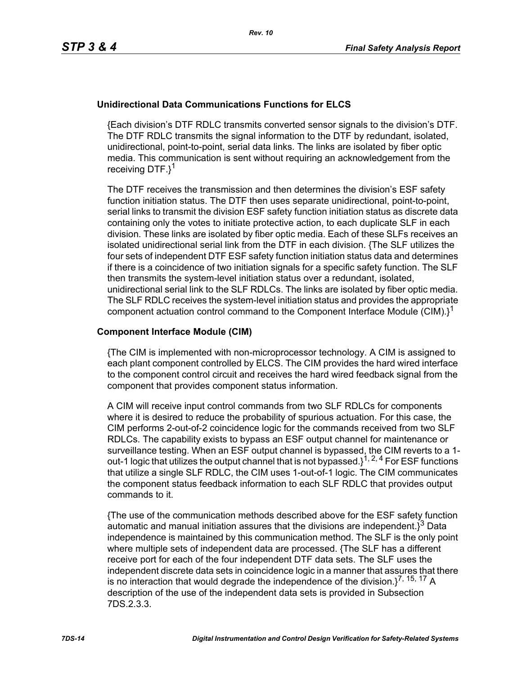### **Unidirectional Data Communications Functions for ELCS**

{Each division's DTF RDLC transmits converted sensor signals to the division's DTF. The DTF RDLC transmits the signal information to the DTF by redundant, isolated, unidirectional, point-to-point, serial data links. The links are isolated by fiber optic media. This communication is sent without requiring an acknowledgement from the receiving DTF.}<sup>1</sup>

The DTF receives the transmission and then determines the division's ESF safety function initiation status. The DTF then uses separate unidirectional, point-to-point, serial links to transmit the division ESF safety function initiation status as discrete data containing only the votes to initiate protective action, to each duplicate SLF in each division. These links are isolated by fiber optic media. Each of these SLFs receives an isolated unidirectional serial link from the DTF in each division. {The SLF utilizes the four sets of independent DTF ESF safety function initiation status data and determines if there is a coincidence of two initiation signals for a specific safety function. The SLF then transmits the system-level initiation status over a redundant, isolated, unidirectional serial link to the SLF RDLCs. The links are isolated by fiber optic media. The SLF RDLC receives the system-level initiation status and provides the appropriate component actuation control command to the Component Interface Module (CIM). $i^1$ 

#### **Component Interface Module (CIM)**

{The CIM is implemented with non-microprocessor technology. A CIM is assigned to each plant component controlled by ELCS. The CIM provides the hard wired interface to the component control circuit and receives the hard wired feedback signal from the component that provides component status information.

A CIM will receive input control commands from two SLF RDLCs for components where it is desired to reduce the probability of spurious actuation. For this case, the CIM performs 2-out-of-2 coincidence logic for the commands received from two SLF RDLCs. The capability exists to bypass an ESF output channel for maintenance or surveillance testing. When an ESF output channel is bypassed, the CIM reverts to a 1 out-1 logic that utilizes the output channel that is not bypassed.}1, 2, 4 For ESF functions that utilize a single SLF RDLC, the CIM uses 1-out-of-1 logic. The CIM communicates the component status feedback information to each SLF RDLC that provides output commands to it.

{The use of the communication methods described above for the ESF safety function automatic and manual initiation assures that the divisions are independent. $i^3$  Data independence is maintained by this communication method. The SLF is the only point where multiple sets of independent data are processed. {The SLF has a different receive port for each of the four independent DTF data sets. The SLF uses the independent discrete data sets in coincidence logic in a manner that assures that there is no interaction that would degrade the independence of the division. $1^{7, 15, 17}$  A description of the use of the independent data sets is provided in Subsection 7DS.2.3.3.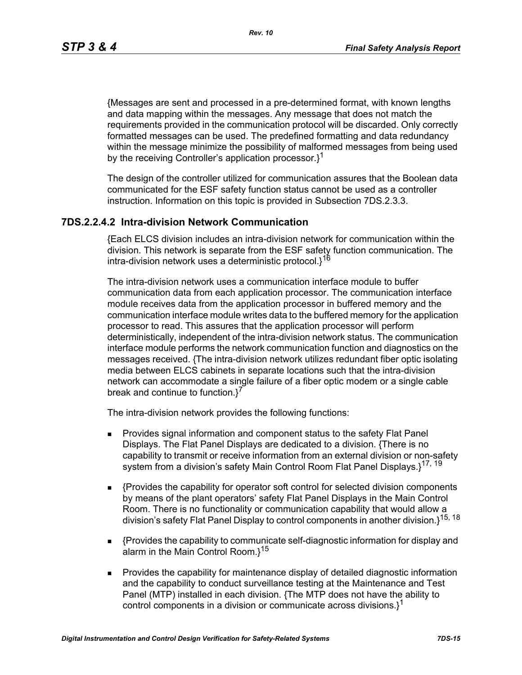*Rev. 10*

{Messages are sent and processed in a pre-determined format, with known lengths and data mapping within the messages. Any message that does not match the requirements provided in the communication protocol will be discarded. Only correctly formatted messages can be used. The predefined formatting and data redundancy within the message minimize the possibility of malformed messages from being used by the receiving Controller's application processor.<sup>1</sup>

The design of the controller utilized for communication assures that the Boolean data communicated for the ESF safety function status cannot be used as a controller instruction. Information on this topic is provided in Subsection 7DS.2.3.3.

### **7DS.2.2.4.2 Intra-division Network Communication**

{Each ELCS division includes an intra-division network for communication within the division. This network is separate from the ESF safety function communication. The intra-division network uses a deterministic protocol.}<sup>16</sup>

The intra-division network uses a communication interface module to buffer communication data from each application processor. The communication interface module receives data from the application processor in buffered memory and the communication interface module writes data to the buffered memory for the application processor to read. This assures that the application processor will perform deterministically, independent of the intra-division network status. The communication interface module performs the network communication function and diagnostics on the messages received. {The intra-division network utilizes redundant fiber optic isolating media between ELCS cabinets in separate locations such that the intra-division network can accommodate a single failure of a fiber optic modem or a single cable break and continue to function.<sup>7</sup>

The intra-division network provides the following functions:

- **Provides signal information and component status to the safety Flat Panel** Displays. The Flat Panel Displays are dedicated to a division. {There is no capability to transmit or receive information from an external division or non-safety system from a division's safety Main Control Room Flat Panel Displays.}<sup>17, 19</sup>
- {Provides the capability for operator soft control for selected division components by means of the plant operators' safety Flat Panel Displays in the Main Control Room. There is no functionality or communication capability that would allow a division's safety Flat Panel Display to control components in another division.}15, 18
- {Provides the capability to communicate self-diagnostic information for display and alarm in the Main Control Room. $1^{15}$
- **Provides the capability for maintenance display of detailed diagnostic information** and the capability to conduct surveillance testing at the Maintenance and Test Panel (MTP) installed in each division. {The MTP does not have the ability to control components in a division or communicate across divisions. $l^1$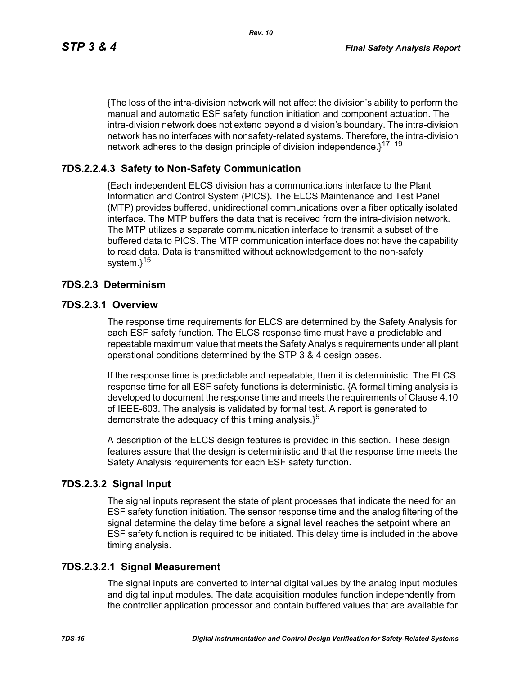{The loss of the intra-division network will not affect the division's ability to perform the manual and automatic ESF safety function initiation and component actuation. The intra-division network does not extend beyond a division's boundary. The intra-division network has no interfaces with nonsafety-related systems. Therefore, the intra-division network adheres to the design principle of division independence.<sup>17, 19</sup>

# **7DS.2.2.4.3 Safety to Non-Safety Communication**

{Each independent ELCS division has a communications interface to the Plant Information and Control System (PICS). The ELCS Maintenance and Test Panel (MTP) provides buffered, unidirectional communications over a fiber optically isolated interface. The MTP buffers the data that is received from the intra-division network. The MTP utilizes a separate communication interface to transmit a subset of the buffered data to PICS. The MTP communication interface does not have the capability to read data. Data is transmitted without acknowledgement to the non-safety system.}<sup>15</sup>

### **7DS.2.3 Determinism**

#### **7DS.2.3.1 Overview**

The response time requirements for ELCS are determined by the Safety Analysis for each ESF safety function. The ELCS response time must have a predictable and repeatable maximum value that meets the Safety Analysis requirements under all plant operational conditions determined by the STP 3 & 4 design bases.

If the response time is predictable and repeatable, then it is deterministic. The ELCS response time for all ESF safety functions is deterministic. {A formal timing analysis is developed to document the response time and meets the requirements of Clause 4.10 of IEEE-603. The analysis is validated by formal test. A report is generated to demonstrate the adequacy of this timing analysis. $3^9$ 

A description of the ELCS design features is provided in this section. These design features assure that the design is deterministic and that the response time meets the Safety Analysis requirements for each ESF safety function.

### **7DS.2.3.2 Signal Input**

The signal inputs represent the state of plant processes that indicate the need for an ESF safety function initiation. The sensor response time and the analog filtering of the signal determine the delay time before a signal level reaches the setpoint where an ESF safety function is required to be initiated. This delay time is included in the above timing analysis.

#### **7DS.2.3.2.1 Signal Measurement**

The signal inputs are converted to internal digital values by the analog input modules and digital input modules. The data acquisition modules function independently from the controller application processor and contain buffered values that are available for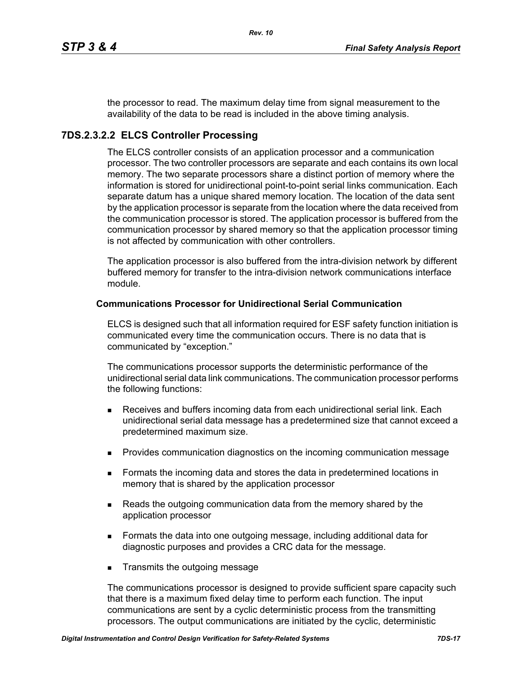the processor to read. The maximum delay time from signal measurement to the availability of the data to be read is included in the above timing analysis.

# **7DS.2.3.2.2 ELCS Controller Processing**

The ELCS controller consists of an application processor and a communication processor. The two controller processors are separate and each contains its own local memory. The two separate processors share a distinct portion of memory where the information is stored for unidirectional point-to-point serial links communication. Each separate datum has a unique shared memory location. The location of the data sent by the application processor is separate from the location where the data received from the communication processor is stored. The application processor is buffered from the communication processor by shared memory so that the application processor timing is not affected by communication with other controllers.

The application processor is also buffered from the intra-division network by different buffered memory for transfer to the intra-division network communications interface module.

#### **Communications Processor for Unidirectional Serial Communication**

ELCS is designed such that all information required for ESF safety function initiation is communicated every time the communication occurs. There is no data that is communicated by "exception."

The communications processor supports the deterministic performance of the unidirectional serial data link communications. The communication processor performs the following functions:

- Receives and buffers incoming data from each unidirectional serial link. Each unidirectional serial data message has a predetermined size that cannot exceed a predetermined maximum size.
- **Provides communication diagnostics on the incoming communication message**
- **Formats the incoming data and stores the data in predetermined locations in** memory that is shared by the application processor
- **Reads the outgoing communication data from the memory shared by the** application processor
- Formats the data into one outgoing message, including additional data for diagnostic purposes and provides a CRC data for the message.
- **Transmits the outgoing message**

The communications processor is designed to provide sufficient spare capacity such that there is a maximum fixed delay time to perform each function. The input communications are sent by a cyclic deterministic process from the transmitting processors. The output communications are initiated by the cyclic, deterministic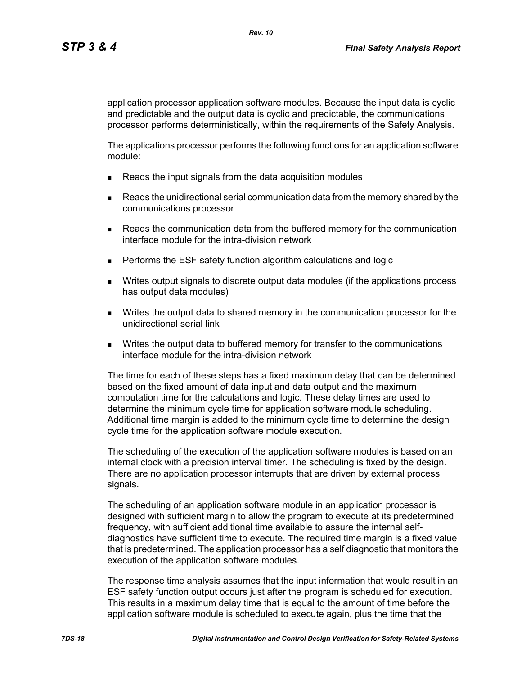application processor application software modules. Because the input data is cyclic and predictable and the output data is cyclic and predictable, the communications processor performs deterministically, within the requirements of the Safety Analysis.

The applications processor performs the following functions for an application software module:

- Reads the input signals from the data acquisition modules
- **Reads the unidirectional serial communication data from the memory shared by the** communications processor
- **Reads the communication data from the buffered memory for the communication** interface module for the intra-division network
- **Performs the ESF safety function algorithm calculations and logic**
- Writes output signals to discrete output data modules (if the applications process has output data modules)
- Writes the output data to shared memory in the communication processor for the unidirectional serial link
- **Writes the output data to buffered memory for transfer to the communications** interface module for the intra-division network

The time for each of these steps has a fixed maximum delay that can be determined based on the fixed amount of data input and data output and the maximum computation time for the calculations and logic. These delay times are used to determine the minimum cycle time for application software module scheduling. Additional time margin is added to the minimum cycle time to determine the design cycle time for the application software module execution.

The scheduling of the execution of the application software modules is based on an internal clock with a precision interval timer. The scheduling is fixed by the design. There are no application processor interrupts that are driven by external process signals.

The scheduling of an application software module in an application processor is designed with sufficient margin to allow the program to execute at its predetermined frequency, with sufficient additional time available to assure the internal selfdiagnostics have sufficient time to execute. The required time margin is a fixed value that is predetermined. The application processor has a self diagnostic that monitors the execution of the application software modules.

The response time analysis assumes that the input information that would result in an ESF safety function output occurs just after the program is scheduled for execution. This results in a maximum delay time that is equal to the amount of time before the application software module is scheduled to execute again, plus the time that the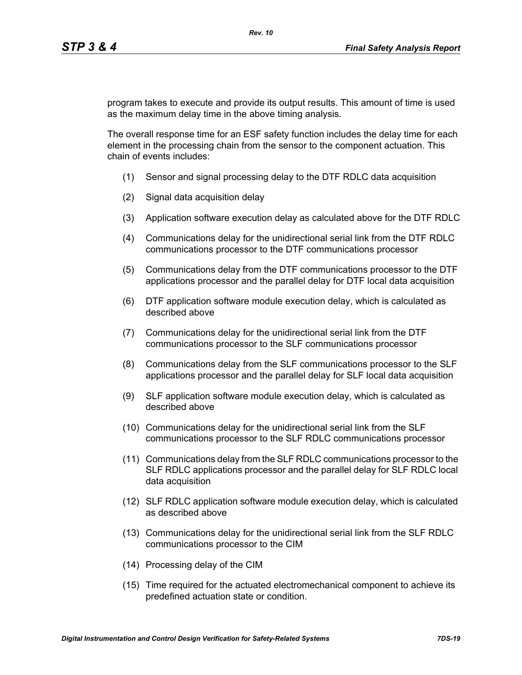program takes to execute and provide its output results. This amount of time is used as the maximum delay time in the above timing analysis.

The overall response time for an ESF safety function includes the delay time for each element in the processing chain from the sensor to the component actuation. This chain of events includes:

- (1) Sensor and signal processing delay to the DTF RDLC data acquisition
- (2) Signal data acquisition delay
- (3) Application software execution delay as calculated above for the DTF RDLC
- (4) Communications delay for the unidirectional serial link from the DTF RDLC communications processor to the DTF communications processor
- (5) Communications delay from the DTF communications processor to the DTF applications processor and the parallel delay for DTF local data acquisition
- (6) DTF application software module execution delay, which is calculated as described above
- (7) Communications delay for the unidirectional serial link from the DTF communications processor to the SLF communications processor
- (8) Communications delay from the SLF communications processor to the SLF applications processor and the parallel delay for SLF local data acquisition
- (9) SLF application software module execution delay, which is calculated as described above
- (10) Communications delay for the unidirectional serial link from the SLF communications processor to the SLF RDLC communications processor
- (11) Communications delay from the SLF RDLC communications processor to the SLF RDLC applications processor and the parallel delay for SLF RDLC local data acquisition
- (12) SLF RDLC application software module execution delay, which is calculated as described above
- (13) Communications delay for the unidirectional serial link from the SLF RDLC communications processor to the CIM
- (14) Processing delay of the CIM
- (15) Time required for the actuated electromechanical component to achieve its predefined actuation state or condition.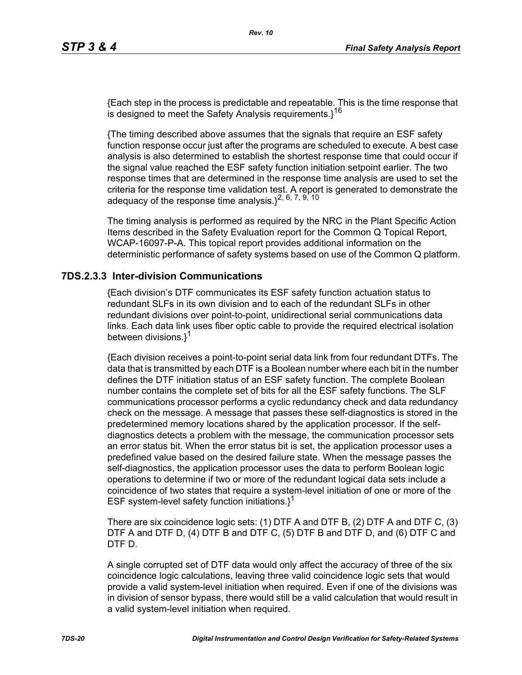{Each step in the process is predictable and repeatable. This is the time response that is designed to meet the Safety Analysis requirements. $3^{16}$ 

{The timing described above assumes that the signals that require an ESF safety function response occur just after the programs are scheduled to execute. A best case analysis is also determined to establish the shortest response time that could occur if the signal value reached the ESF safety function initiation setpoint earlier. The two response times that are determined in the response time analysis are used to set the criteria for the response time validation test. A report is generated to demonstrate the adequacy of the response time analysis. $1^{2, 6, 7, 9, 10}$ 

The timing analysis is performed as required by the NRC in the Plant Specific Action Items described in the Safety Evaluation report for the Common Q Topical Report, WCAP-16097-P-A. This topical report provides additional information on the deterministic performance of safety systems based on use of the Common Q platform.

### **7DS.2.3.3 Inter-division Communications**

{Each division's DTF communicates its ESF safety function actuation status to redundant SLFs in its own division and to each of the redundant SLFs in other redundant divisions over point-to-point, unidirectional serial communications data links. Each data link uses fiber optic cable to provide the required electrical isolation between divisions.}<sup>1</sup>

{Each division receives a point-to-point serial data link from four redundant DTFs. The data that is transmitted by each DTF is a Boolean number where each bit in the number defines the DTF initiation status of an ESF safety function. The complete Boolean number contains the complete set of bits for all the ESF safety functions. The SLF communications processor performs a cyclic redundancy check and data redundancy check on the message. A message that passes these self-diagnostics is stored in the predetermined memory locations shared by the application processor. If the selfdiagnostics detects a problem with the message, the communication processor sets an error status bit. When the error status bit is set, the application processor uses a predefined value based on the desired failure state. When the message passes the self-diagnostics, the application processor uses the data to perform Boolean logic operations to determine if two or more of the redundant logical data sets include a coincidence of two states that require a system-level initiation of one or more of the ESF system-level safety function initiations. $1^1$ 

There are six coincidence logic sets: (1) DTF A and DTF B, (2) DTF A and DTF C, (3) DTF A and DTF D, (4) DTF B and DTF C, (5) DTF B and DTF D, and (6) DTF C and DTF D.

A single corrupted set of DTF data would only affect the accuracy of three of the six coincidence logic calculations, leaving three valid coincidence logic sets that would provide a valid system-level initiation when required. Even if one of the divisions was in division of sensor bypass, there would still be a valid calculation that would result in a valid system-level initiation when required.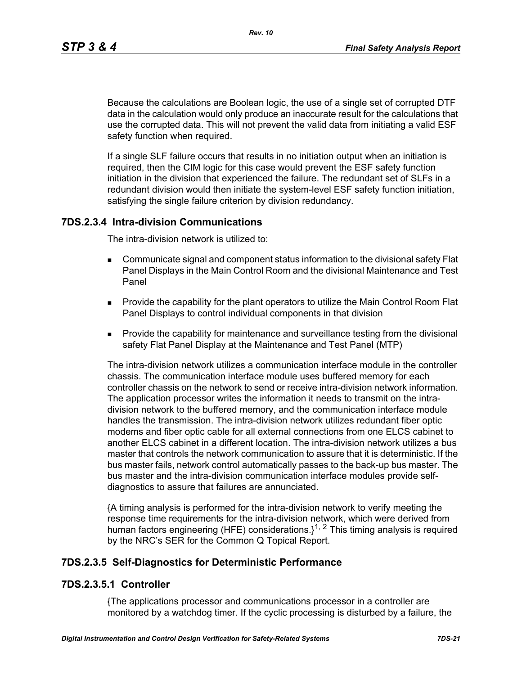*Rev. 10*

Because the calculations are Boolean logic, the use of a single set of corrupted DTF data in the calculation would only produce an inaccurate result for the calculations that use the corrupted data. This will not prevent the valid data from initiating a valid ESF safety function when required.

If a single SLF failure occurs that results in no initiation output when an initiation is required, then the CIM logic for this case would prevent the ESF safety function initiation in the division that experienced the failure. The redundant set of SLFs in a redundant division would then initiate the system-level ESF safety function initiation, satisfying the single failure criterion by division redundancy.

# **7DS.2.3.4 Intra-division Communications**

The intra-division network is utilized to:

- Communicate signal and component status information to the divisional safety Flat Panel Displays in the Main Control Room and the divisional Maintenance and Test Panel
- **Provide the capability for the plant operators to utilize the Main Control Room Flat** Panel Displays to control individual components in that division
- **Provide the capability for maintenance and surveillance testing from the divisional** safety Flat Panel Display at the Maintenance and Test Panel (MTP)

The intra-division network utilizes a communication interface module in the controller chassis. The communication interface module uses buffered memory for each controller chassis on the network to send or receive intra-division network information. The application processor writes the information it needs to transmit on the intradivision network to the buffered memory, and the communication interface module handles the transmission. The intra-division network utilizes redundant fiber optic modems and fiber optic cable for all external connections from one ELCS cabinet to another ELCS cabinet in a different location. The intra-division network utilizes a bus master that controls the network communication to assure that it is deterministic. If the bus master fails, network control automatically passes to the back-up bus master. The bus master and the intra-division communication interface modules provide selfdiagnostics to assure that failures are annunciated.

{A timing analysis is performed for the intra-division network to verify meeting the response time requirements for the intra-division network, which were derived from human factors engineering (HFE) considerations. $1^{1, 2}$  This timing analysis is required by the NRC's SER for the Common Q Topical Report.

### **7DS.2.3.5 Self-Diagnostics for Deterministic Performance**

# **7DS.2.3.5.1 Controller**

{The applications processor and communications processor in a controller are monitored by a watchdog timer. If the cyclic processing is disturbed by a failure, the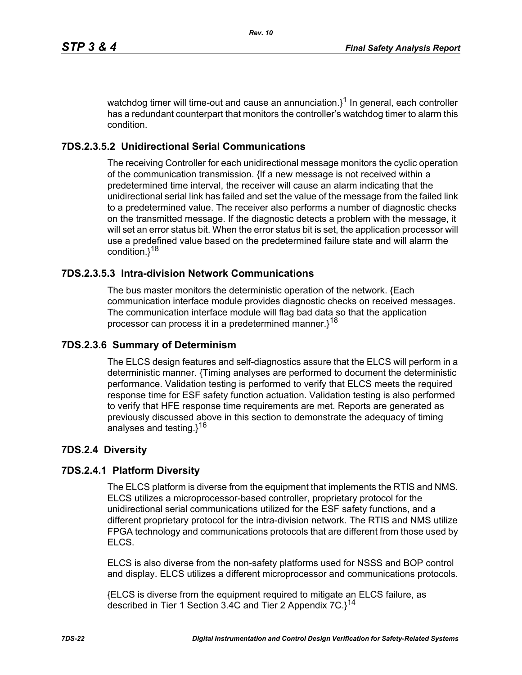watchdog timer will time-out and cause an annunciation. $3^1$  In general, each controller has a redundant counterpart that monitors the controller's watchdog timer to alarm this condition.

# **7DS.2.3.5.2 Unidirectional Serial Communications**

The receiving Controller for each unidirectional message monitors the cyclic operation of the communication transmission. {If a new message is not received within a predetermined time interval, the receiver will cause an alarm indicating that the unidirectional serial link has failed and set the value of the message from the failed link to a predetermined value. The receiver also performs a number of diagnostic checks on the transmitted message. If the diagnostic detects a problem with the message, it will set an error status bit. When the error status bit is set, the application processor will use a predefined value based on the predetermined failure state and will alarm the condition.}<sup>18</sup>

# **7DS.2.3.5.3 Intra-division Network Communications**

The bus master monitors the deterministic operation of the network. {Each communication interface module provides diagnostic checks on received messages. The communication interface module will flag bad data so that the application processor can process it in a predetermined manner.}<sup>18</sup>

# **7DS.2.3.6 Summary of Determinism**

The ELCS design features and self-diagnostics assure that the ELCS will perform in a deterministic manner. {Timing analyses are performed to document the deterministic performance. Validation testing is performed to verify that ELCS meets the required response time for ESF safety function actuation. Validation testing is also performed to verify that HFE response time requirements are met. Reports are generated as previously discussed above in this section to demonstrate the adequacy of timing analyses and testing.}<sup>16</sup>

# **7DS.2.4 Diversity**

# **7DS.2.4.1 Platform Diversity**

The ELCS platform is diverse from the equipment that implements the RTIS and NMS. ELCS utilizes a microprocessor-based controller, proprietary protocol for the unidirectional serial communications utilized for the ESF safety functions, and a different proprietary protocol for the intra-division network. The RTIS and NMS utilize FPGA technology and communications protocols that are different from those used by ELCS.

ELCS is also diverse from the non-safety platforms used for NSSS and BOP control and display. ELCS utilizes a different microprocessor and communications protocols.

{ELCS is diverse from the equipment required to mitigate an ELCS failure, as described in Tier 1 Section 3.4C and Tier 2 Appendix  $7C$ . $3^{14}$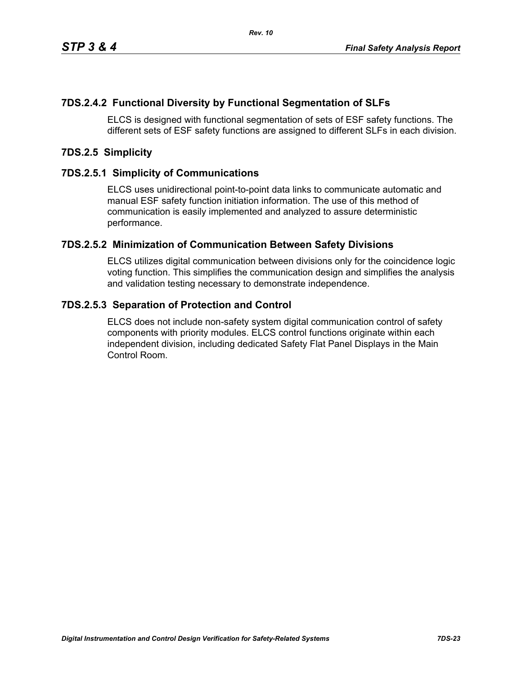# **7DS.2.4.2 Functional Diversity by Functional Segmentation of SLFs**

ELCS is designed with functional segmentation of sets of ESF safety functions. The different sets of ESF safety functions are assigned to different SLFs in each division.

### **7DS.2.5 Simplicity**

### **7DS.2.5.1 Simplicity of Communications**

ELCS uses unidirectional point-to-point data links to communicate automatic and manual ESF safety function initiation information. The use of this method of communication is easily implemented and analyzed to assure deterministic performance.

### **7DS.2.5.2 Minimization of Communication Between Safety Divisions**

ELCS utilizes digital communication between divisions only for the coincidence logic voting function. This simplifies the communication design and simplifies the analysis and validation testing necessary to demonstrate independence.

### **7DS.2.5.3 Separation of Protection and Control**

ELCS does not include non-safety system digital communication control of safety components with priority modules. ELCS control functions originate within each independent division, including dedicated Safety Flat Panel Displays in the Main Control Room.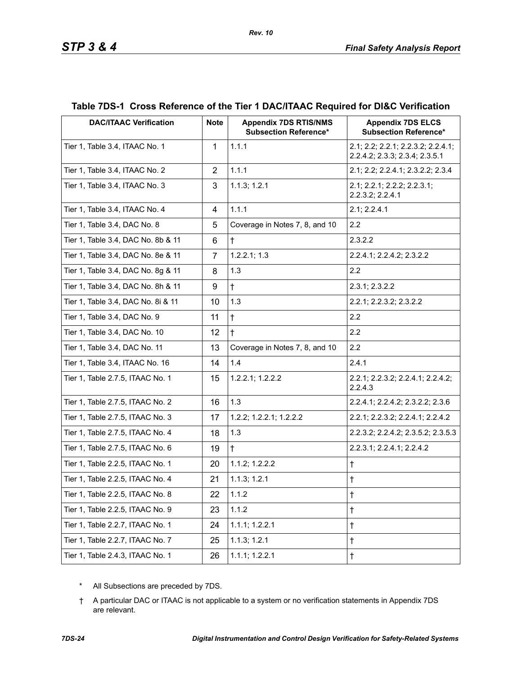| <b>DAC/ITAAC Verification</b>      | <b>Note</b>    | <b>Appendix 7DS RTIS/NMS</b><br><b>Subsection Reference*</b> | <b>Appendix 7DS ELCS</b><br><b>Subsection Reference*</b>             |
|------------------------------------|----------------|--------------------------------------------------------------|----------------------------------------------------------------------|
| Tier 1, Table 3.4, ITAAC No. 1     | $\mathbf{1}$   | 1.1.1                                                        | 2.1; 2.2; 2.2.1; 2.2.3.2; 2.2.4.1;<br>2.2.4.2; 2.3.3; 2.3.4; 2.3.5.1 |
| Tier 1, Table 3.4, ITAAC No. 2     | $\overline{2}$ | 1.1.1                                                        | 2.1; 2.2; 2.2.4.1; 2.3.2.2; 2.3.4                                    |
| Tier 1, Table 3.4, ITAAC No. 3     | 3              | 1.1.3; 1.2.1                                                 | 2.1; 2.2.1; 2.2.2; 2.2.3.1;<br>2.2.3.2; 2.2.4.1                      |
| Tier 1, Table 3.4, ITAAC No. 4     | 4              | 1.1.1                                                        | 2.1; 2.2.4.1                                                         |
| Tier 1, Table 3.4, DAC No. 8       | 5              | Coverage in Notes 7, 8, and 10                               | 2.2                                                                  |
| Tier 1, Table 3.4, DAC No. 8b & 11 | 6              | $\ddagger$                                                   | 2.3.2.2                                                              |
| Tier 1, Table 3.4, DAC No. 8e & 11 | $\overline{7}$ | 1.2.2.1; 1.3                                                 | 2.2.4.1; 2.2.4.2; 2.3.2.2                                            |
| Tier 1, Table 3.4, DAC No. 8g & 11 | 8              | 1.3                                                          | 2.2                                                                  |
| Tier 1, Table 3.4, DAC No. 8h & 11 | 9              | $\ddagger$                                                   | 2.3.1; 2.3.2.2                                                       |
| Tier 1, Table 3.4, DAC No. 8i & 11 | 10             | 1.3                                                          | 2.2.1; 2.2.3.2; 2.3.2.2                                              |
| Tier 1, Table 3.4, DAC No. 9       | 11             | $\ddagger$                                                   | 2.2                                                                  |
| Tier 1, Table 3.4, DAC No. 10      | 12             | $\ddagger$                                                   | 2.2                                                                  |
| Tier 1, Table 3.4, DAC No. 11      | 13             | Coverage in Notes 7, 8, and 10                               | 2.2                                                                  |
| Tier 1, Table 3.4, ITAAC No. 16    | 14             | 1.4                                                          | 2.4.1                                                                |
| Tier 1, Table 2.7.5, ITAAC No. 1   | 15             | 1.2.2.1; 1.2.2.2                                             | 2.2.1; 2.2.3.2; 2.2.4.1; 2.2.4.2;<br>2.2.4.3                         |
| Tier 1, Table 2.7.5, ITAAC No. 2   | 16             | 1.3                                                          | 2.2.4.1; 2.2.4.2; 2.3.2.2; 2.3.6                                     |
| Tier 1, Table 2.7.5, ITAAC No. 3   | 17             | 1.2.2; 1.2.2.1; 1.2.2.2                                      | 2.2.1; 2.2.3.2; 2.2.4.1; 2.2.4.2                                     |
| Tier 1, Table 2.7.5, ITAAC No. 4   | 18             | 1.3                                                          | 2.2.3.2; 2.2.4.2; 2.3.5.2; 2.3.5.3                                   |
| Tier 1, Table 2.7.5, ITAAC No. 6   | 19             | $\ddagger$                                                   | 2.2.3.1; 2.2.4.1; 2.2.4.2                                            |
| Tier 1, Table 2.2.5, ITAAC No. 1   | 20             | 1.1.2; 1.2.2.2                                               | $\ddagger$                                                           |
| Tier 1, Table 2.2.5, ITAAC No. 4   | 21             | 1.1.3; 1.2.1                                                 | $^\dagger$                                                           |
| Tier 1, Table 2.2.5, ITAAC No. 8   | 22             | 1.1.2                                                        | $^\dagger$                                                           |
| Tier 1, Table 2.2.5, ITAAC No. 9   | 23             | 1.1.2                                                        | $\ddagger$                                                           |
| Tier 1, Table 2.2.7, ITAAC No. 1   | 24             | 1.1.1; 1.2.2.1                                               | $\ddagger$                                                           |
| Tier 1, Table 2.2.7, ITAAC No. 7   | 25             | 1.1.3; 1.2.1                                                 | $\ddagger$                                                           |
| Tier 1, Table 2.4.3, ITAAC No. 1   | 26             | $1.1.1$ ; $1.2.2.1$                                          | $\dagger$                                                            |

# **Table 7DS-1 Cross Reference of the Tier 1 DAC/ITAAC Required for DI&C Verification**

*Rev. 10*

\* All Subsections are preceded by 7DS.

† A particular DAC or ITAAC is not applicable to a system or no verification statements in Appendix 7DS are relevant.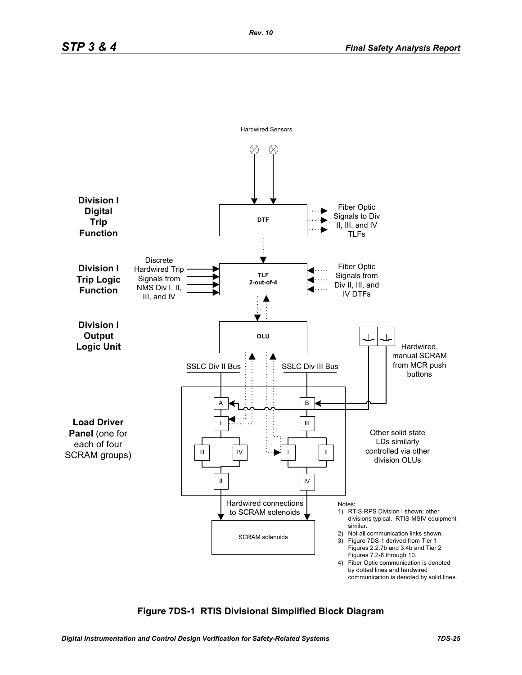

### **Figure 7DS-1 RTIS Divisional Simplified Block Diagram**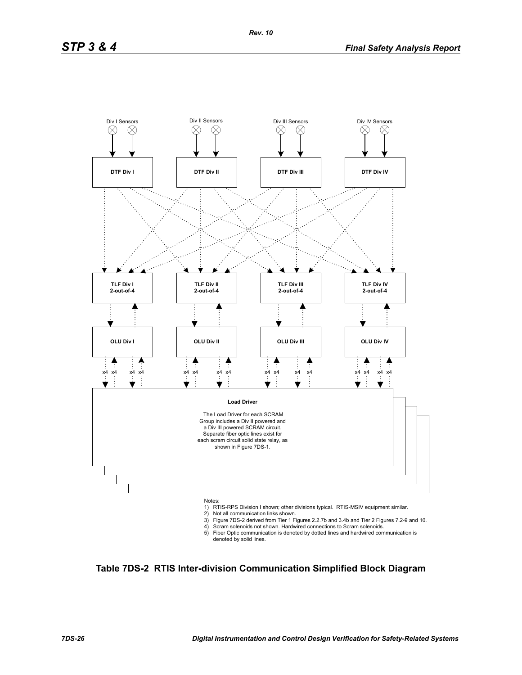

- 2) Not all communication links shown.
- 
- 3) Figure 7DS-2 derived from Tier 1 Figures 2.2.7b and 3.4b and Tier 2 Figures 7.2-9 and 10. 4) Scram solenoids not shown. Hardwired connections to Scram solenoids.
- 5) Fiber Optic communication is denoted by dotted lines and hardwired communication is denoted by solid lines.

**Table 7DS-2 RTIS Inter-division Communication Simplified Block Diagram**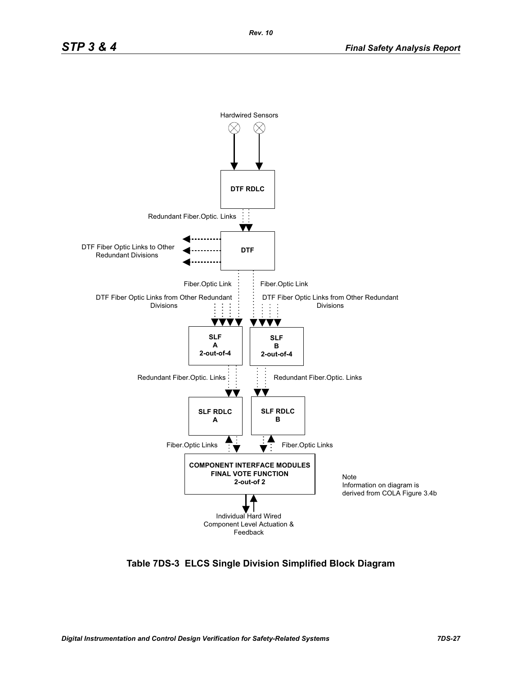

**Table 7DS-3 ELCS Single Division Simplified Block Diagram**